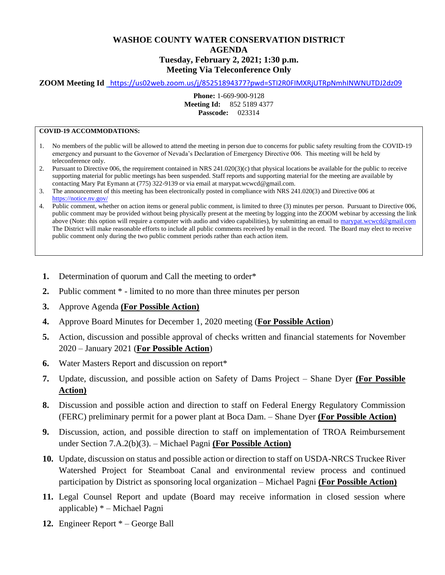## **WASHOE COUNTY WATER CONSERVATION DISTRICT AGENDA Tuesday, February 2, 2021; 1:30 p.m. Meeting Via Teleconference Only**

**ZOOM Meeting Id** <https://us02web.zoom.us/j/85251894377?pwd=STI2R0FIMXRjUTRpNmhINWNUTDJ2dz09>

**Phone:** 1-669-900-9128 **Meeting Id:** 852 5189 4377 **Passcode:** 023314

## **COVID-19 ACCOMMODATIONS:**

- 1. No members of the public will be allowed to attend the meeting in person due to concerns for public safety resulting from the COVID-19 emergency and pursuant to the Governor of Nevada's Declaration of Emergency Directive 006. This meeting will be held by teleconference only.
- 2. Pursuant to Directive 006, the requirement contained in NRS 241.020(3)(c) that physical locations be available for the public to receive supporting material for public meetings has been suspended. Staff reports and supporting material for the meeting are available by contacting Mary Pat Eymann at (775) 322-9139 or via email at marypat.wcwcd@gmail.com.
- 3. The announcement of this meeting has been electronically posted in compliance with NRS 241.020(3) and Directive 006 at <https://notice.nv.gov/>
- 4. Public comment, whether on action items or general public comment, is limited to three (3) minutes per person. Pursuant to Directive 006, public comment may be provided without being physically present at the meeting by logging into the ZOOM webinar by accessing the link above (Note: this option will require a computer with audio and video capabilities), by submitting an email to marypat.wcwcd@gmail.com The District will make reasonable efforts to include all public comments received by email in the record. The Board may elect to receive public comment only during the two public comment periods rather than each action item.
- **1.** Determination of quorum and Call the meeting to order\*
- **2.** Public comment \* limited to no more than three minutes per person
- **3.** Approve Agenda **(For Possible Action)**
- **4.** Approve Board Minutes for December 1, 2020 meeting (**For Possible Action**)
- **5.** Action, discussion and possible approval of checks written and financial statements for November 2020 – January 2021 (**For Possible Action**)
- **6.** Water Masters Report and discussion on report\*
- **7.** Update, discussion, and possible action on Safety of Dams Project Shane Dyer **(For Possible Action)**
- **8.** Discussion and possible action and direction to staff on Federal Energy Regulatory Commission (FERC) preliminary permit for a power plant at Boca Dam. – Shane Dyer **(For Possible Action)**
- **9.** Discussion, action, and possible direction to staff on implementation of TROA Reimbursement under Section 7.A.2(b)(3). – Michael Pagni **(For Possible Action)**
- **10.** Update, discussion on status and possible action or direction to staff on USDA-NRCS Truckee River Watershed Project for Steamboat Canal and environmental review process and continued participation by District as sponsoring local organization – Michael Pagni **(For Possible Action)**
- **11.** Legal Counsel Report and update (Board may receive information in closed session where applicable) \* – Michael Pagni
- **12.** Engineer Report \* George Ball